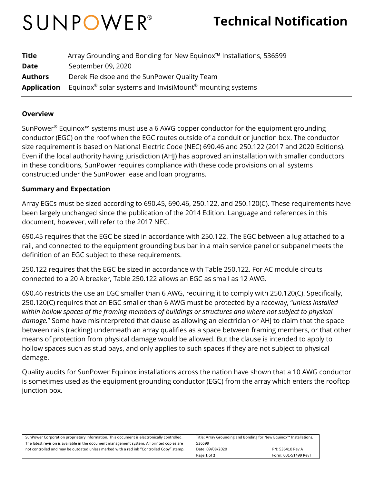# SUNPOWER®

## **Technical Notification**

| <b>Title</b>       | Array Grounding and Bonding for New Equinox™ Installations, 536599               |
|--------------------|----------------------------------------------------------------------------------|
| <b>Date</b>        | September 09, 2020                                                               |
| <b>Authors</b>     | Derek Fieldsoe and the SunPower Quality Team                                     |
| <b>Application</b> | Equinox <sup>®</sup> solar systems and InvisiMount <sup>®</sup> mounting systems |

#### **Overview**

SunPower® Equinox™ systems must use a 6 AWG copper conductor for the equipment grounding conductor (EGC) on the roof when the EGC routes outside of a conduit or junction box. The conductor size requirement is based on National Electric Code (NEC) 690.46 and 250.122 (2017 and 2020 Editions). Even if the local authority having jurisdiction (AHJ) has approved an installation with smaller conductors in these conditions, SunPower requires compliance with these code provisions on all systems constructed under the SunPower lease and loan programs.

#### **Summary and Expectation**

Array EGCs must be sized according to 690.45, 690.46, 250.122, and 250.120(C). These requirements have been largely unchanged since the publication of the 2014 Edition. Language and references in this document, however, will refer to the 2017 NEC.

690.45 requires that the EGC be sized in accordance with 250.122. The EGC between a lug attached to a rail, and connected to the equipment grounding bus bar in a main service panel or subpanel meets the definition of an EGC subject to these requirements.

250.122 requires that the EGC be sized in accordance with Table 250.122. For AC module circuits connected to a 20 A breaker, Table 250.122 allows an EGC as small as 12 AWG.

690.46 restricts the use an EGC smaller than 6 AWG, requiring it to comply with 250.120(C). Specifically, 250.120(C) requires that an EGC smaller than 6 AWG must be protected by a raceway, "*unless installed within hollow spaces of the framing members of buildings or structures and where not subject to physical damage.*" Some have misinterpreted that clause as allowing an electrician or AHJ to claim that the space between rails (racking) underneath an array qualifies as a space between framing members, or that other means of protection from physical damage would be allowed. But the clause is intended to apply to hollow spaces such as stud bays, and only applies to such spaces if they are not subject to physical damage.

Quality audits for SunPower Equinox installations across the nation have shown that a 10 AWG conductor is sometimes used as the equipment grounding conductor (EGC) from the array which enters the rooftop junction box.

| SunPower Corporation proprietary information. This document is electronically controlled.  | Title: Array Grounding and Bonding for New Equinox™ Installations, |                       |
|--------------------------------------------------------------------------------------------|--------------------------------------------------------------------|-----------------------|
| The latest revision is available in the document management system. All printed copies are | 536599                                                             |                       |
| not controlled and may be outdated unless marked with a red ink "Controlled Copy" stamp.   | Date: 09/08/2020                                                   | PN: 536410 Rev A      |
|                                                                                            | Page 1 of 2                                                        | Form: 001-51499 Rev I |